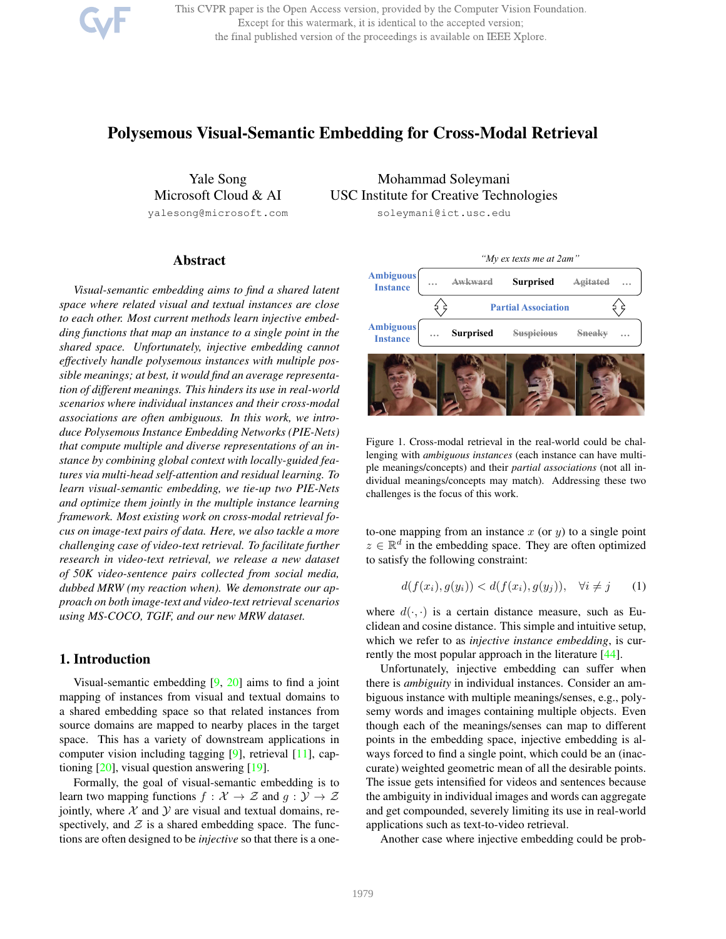This CVPR paper is the Open Access version, provided by the Computer Vision Foundation. Except for this watermark, it is identical to the accepted version; the final published version of the proceedings is available on IEEE Xplore.

# Polysemous Visual-Semantic Embedding for Cross-Modal Retrieval

Yale Song Microsoft Cloud & AI

yalesong@microsoft.com

Mohammad Soleymani USC Institute for Creative Technologies soleymani@ict.usc.edu

# Abstract

*Visual-semantic embedding aims to find a shared latent space where related visual and textual instances are close to each other. Most current methods learn injective embedding functions that map an instance to a single point in the shared space. Unfortunately, injective embedding cannot effectively handle polysemous instances with multiple possible meanings; at best, it would find an average representation of different meanings. This hinders its use in real-world scenarios where individual instances and their cross-modal associations are often ambiguous. In this work, we introduce Polysemous Instance Embedding Networks (PIE-Nets) that compute multiple and diverse representations of an instance by combining global context with locally-guided features via multi-head self-attention and residual learning. To learn visual-semantic embedding, we tie-up two PIE-Nets and optimize them jointly in the multiple instance learning framework. Most existing work on cross-modal retrieval focus on image-text pairs of data. Here, we also tackle a more challenging case of video-text retrieval. To facilitate further research in video-text retrieval, we release a new dataset of 50K video-sentence pairs collected from social media, dubbed MRW (my reaction when). We demonstrate our approach on both image-text and video-text retrieval scenarios using MS-COCO, TGIF, and our new MRW dataset.*

# 1. Introduction

Visual-semantic embedding  $[9, 20]$  aims to find a joint mapping of instances from visual and textual domains to a shared embedding space so that related instances from source domains are mapped to nearby places in the target space. This has a variety of downstream applications in computer vision including tagging [9], retrieval [11], captioning [20], visual question answering [19].

Formally, the goal of visual-semantic embedding is to learn two mapping functions  $f : \mathcal{X} \to \mathcal{Z}$  and  $g : \mathcal{Y} \to \mathcal{Z}$ jointly, where  $X$  and  $Y$  are visual and textual domains, respectively, and  $\mathcal Z$  is a shared embedding space. The functions are often designed to be *injective* so that there is a one-



Figure 1. Cross-modal retrieval in the real-world could be challenging with *ambiguous instances* (each instance can have multiple meanings/concepts) and their *partial associations* (not all individual meanings/concepts may match). Addressing these two challenges is the focus of this work.

to-one mapping from an instance  $x$  (or  $y$ ) to a single point  $z \in \mathbb{R}^d$  in the embedding space. They are often optimized to satisfy the following constraint:

$$
d(f(x_i), g(y_i)) < d(f(x_i), g(y_j)), \quad \forall i \neq j \qquad (1)
$$

where  $d(\cdot, \cdot)$  is a certain distance measure, such as Euclidean and cosine distance. This simple and intuitive setup, which we refer to as *injective instance embedding*, is currently the most popular approach in the literature [44].

Unfortunately, injective embedding can suffer when there is *ambiguity* in individual instances. Consider an ambiguous instance with multiple meanings/senses, e.g., polysemy words and images containing multiple objects. Even though each of the meanings/senses can map to different points in the embedding space, injective embedding is always forced to find a single point, which could be an (inaccurate) weighted geometric mean of all the desirable points. The issue gets intensified for videos and sentences because the ambiguity in individual images and words can aggregate and get compounded, severely limiting its use in real-world applications such as text-to-video retrieval.

Another case where injective embedding could be prob-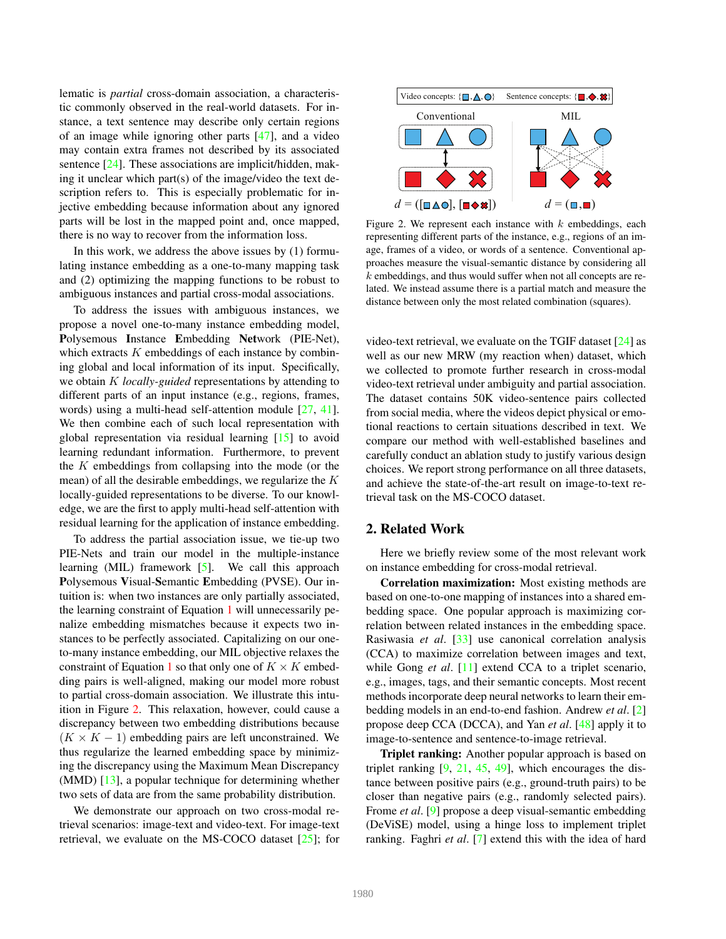lematic is *partial* cross-domain association, a characteristic commonly observed in the real-world datasets. For instance, a text sentence may describe only certain regions of an image while ignoring other parts [47], and a video may contain extra frames not described by its associated sentence [24]. These associations are implicit/hidden, making it unclear which part(s) of the image/video the text description refers to. This is especially problematic for injective embedding because information about any ignored parts will be lost in the mapped point and, once mapped, there is no way to recover from the information loss.

In this work, we address the above issues by (1) formulating instance embedding as a one-to-many mapping task and (2) optimizing the mapping functions to be robust to ambiguous instances and partial cross-modal associations.

To address the issues with ambiguous instances, we propose a novel one-to-many instance embedding model, Polysemous Instance Embedding Network (PIE-Net), which extracts  $K$  embeddings of each instance by combining global and local information of its input. Specifically, we obtain K *locally-guided* representations by attending to different parts of an input instance (e.g., regions, frames, words) using a multi-head self-attention module [27, 41]. We then combine each of such local representation with global representation via residual learning [15] to avoid learning redundant information. Furthermore, to prevent the K embeddings from collapsing into the mode (or the mean) of all the desirable embeddings, we regularize the K locally-guided representations to be diverse. To our knowledge, we are the first to apply multi-head self-attention with residual learning for the application of instance embedding.

To address the partial association issue, we tie-up two PIE-Nets and train our model in the multiple-instance learning (MIL) framework [5]. We call this approach Polysemous Visual-Semantic Embedding (PVSE). Our intuition is: when two instances are only partially associated, the learning constraint of Equation 1 will unnecessarily penalize embedding mismatches because it expects two instances to be perfectly associated. Capitalizing on our oneto-many instance embedding, our MIL objective relaxes the constraint of Equation 1 so that only one of  $K \times K$  embedding pairs is well-aligned, making our model more robust to partial cross-domain association. We illustrate this intuition in Figure 2. This relaxation, however, could cause a discrepancy between two embedding distributions because  $(K \times K - 1)$  embedding pairs are left unconstrained. We thus regularize the learned embedding space by minimizing the discrepancy using the Maximum Mean Discrepancy (MMD) [13], a popular technique for determining whether two sets of data are from the same probability distribution.

We demonstrate our approach on two cross-modal retrieval scenarios: image-text and video-text. For image-text retrieval, we evaluate on the MS-COCO dataset [25]; for



Figure 2. We represent each instance with  $k$  embeddings, each representing different parts of the instance, e.g., regions of an image, frames of a video, or words of a sentence. Conventional approaches measure the visual-semantic distance by considering all k embeddings, and thus would suffer when not all concepts are related. We instead assume there is a partial match and measure the distance between only the most related combination (squares).

video-text retrieval, we evaluate on the TGIF dataset [24] as well as our new MRW (my reaction when) dataset, which we collected to promote further research in cross-modal video-text retrieval under ambiguity and partial association. The dataset contains 50K video-sentence pairs collected from social media, where the videos depict physical or emotional reactions to certain situations described in text. We compare our method with well-established baselines and carefully conduct an ablation study to justify various design choices. We report strong performance on all three datasets, and achieve the state-of-the-art result on image-to-text retrieval task on the MS-COCO dataset.

## 2. Related Work

Here we briefly review some of the most relevant work on instance embedding for cross-modal retrieval.

Correlation maximization: Most existing methods are based on one-to-one mapping of instances into a shared embedding space. One popular approach is maximizing correlation between related instances in the embedding space. Rasiwasia *et al*. [33] use canonical correlation analysis (CCA) to maximize correlation between images and text, while Gong *et al.* [11] extend CCA to a triplet scenario, e.g., images, tags, and their semantic concepts. Most recent methods incorporate deep neural networks to learn their embedding models in an end-to-end fashion. Andrew *et al*. [2] propose deep CCA (DCCA), and Yan *et al*. [48] apply it to image-to-sentence and sentence-to-image retrieval.

Triplet ranking: Another popular approach is based on triplet ranking  $[9, 21, 45, 49]$ , which encourages the distance between positive pairs (e.g., ground-truth pairs) to be closer than negative pairs (e.g., randomly selected pairs). Frome *et al*. [9] propose a deep visual-semantic embedding (DeViSE) model, using a hinge loss to implement triplet ranking. Faghri *et al*. [7] extend this with the idea of hard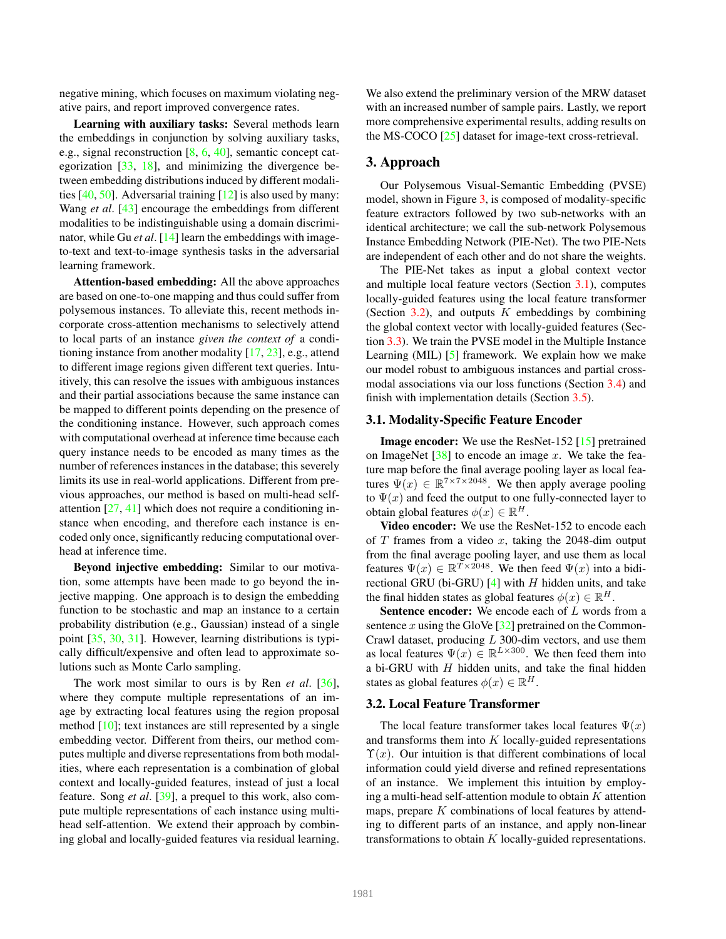negative mining, which focuses on maximum violating negative pairs, and report improved convergence rates.

Learning with auxiliary tasks: Several methods learn the embeddings in conjunction by solving auxiliary tasks, e.g., signal reconstruction [8, 6, 40], semantic concept categorization [33, 18], and minimizing the divergence between embedding distributions induced by different modalities  $[40, 50]$ . Adversarial training  $[12]$  is also used by many: Wang *et al*. [43] encourage the embeddings from different modalities to be indistinguishable using a domain discriminator, while Gu *et al.* [14] learn the embeddings with imageto-text and text-to-image synthesis tasks in the adversarial learning framework.

Attention-based embedding: All the above approaches are based on one-to-one mapping and thus could suffer from polysemous instances. To alleviate this, recent methods incorporate cross-attention mechanisms to selectively attend to local parts of an instance *given the context of* a conditioning instance from another modality [17, 23], e.g., attend to different image regions given different text queries. Intuitively, this can resolve the issues with ambiguous instances and their partial associations because the same instance can be mapped to different points depending on the presence of the conditioning instance. However, such approach comes with computational overhead at inference time because each query instance needs to be encoded as many times as the number of references instances in the database; this severely limits its use in real-world applications. Different from previous approaches, our method is based on multi-head selfattention [27, 41] which does not require a conditioning instance when encoding, and therefore each instance is encoded only once, significantly reducing computational overhead at inference time.

Beyond injective embedding: Similar to our motivation, some attempts have been made to go beyond the injective mapping. One approach is to design the embedding function to be stochastic and map an instance to a certain probability distribution (e.g., Gaussian) instead of a single point [35, 30, 31]. However, learning distributions is typically difficult/expensive and often lead to approximate solutions such as Monte Carlo sampling.

The work most similar to ours is by Ren *et al*. [36], where they compute multiple representations of an image by extracting local features using the region proposal method [10]; text instances are still represented by a single embedding vector. Different from theirs, our method computes multiple and diverse representations from both modalities, where each representation is a combination of global context and locally-guided features, instead of just a local feature. Song *et al*. [39], a prequel to this work, also compute multiple representations of each instance using multihead self-attention. We extend their approach by combining global and locally-guided features via residual learning.

We also extend the preliminary version of the MRW dataset with an increased number of sample pairs. Lastly, we report more comprehensive experimental results, adding results on the MS-COCO [25] dataset for image-text cross-retrieval.

## 3. Approach

Our Polysemous Visual-Semantic Embedding (PVSE) model, shown in Figure 3, is composed of modality-specific feature extractors followed by two sub-networks with an identical architecture; we call the sub-network Polysemous Instance Embedding Network (PIE-Net). The two PIE-Nets are independent of each other and do not share the weights.

The PIE-Net takes as input a global context vector and multiple local feature vectors (Section 3.1), computes locally-guided features using the local feature transformer (Section 3.2), and outputs  $K$  embeddings by combining the global context vector with locally-guided features (Section 3.3). We train the PVSE model in the Multiple Instance Learning (MIL) [5] framework. We explain how we make our model robust to ambiguous instances and partial crossmodal associations via our loss functions (Section 3.4) and finish with implementation details (Section 3.5).

#### 3.1. Modality-Specific Feature Encoder

Image encoder: We use the ResNet-152 [15] pretrained on ImageNet  $[38]$  to encode an image x. We take the feature map before the final average pooling layer as local features  $\Psi(x) \in \mathbb{R}^{7 \times 7 \times 2048}$ . We then apply average pooling to  $\Psi(x)$  and feed the output to one fully-connected layer to obtain global features  $\phi(x) \in \mathbb{R}^H$ .

Video encoder: We use the ResNet-152 to encode each of  $T$  frames from a video  $x$ , taking the 2048-dim output from the final average pooling layer, and use them as local features  $\Psi(x) \in \mathbb{R}^{\widetilde{T} \times 2048}$ . We then feed  $\Psi(x)$  into a bidirectional GRU (bi-GRU)  $[4]$  with H hidden units, and take the final hidden states as global features  $\phi(x) \in \mathbb{R}^H$ .

**Sentence encoder:** We encode each of  $L$  words from a sentence  $x$  using the GloVe  $[32]$  pretrained on the Common-Crawl dataset, producing L 300-dim vectors, and use them as local features  $\Psi(x) \in \mathbb{R}^{L \times 300}$ . We then feed them into a bi-GRU with  $H$  hidden units, and take the final hidden states as global features  $\phi(x) \in \mathbb{R}^H$ .

# 3.2. Local Feature Transformer

The local feature transformer takes local features  $\Psi(x)$ and transforms them into  $K$  locally-guided representations  $\Upsilon(x)$ . Our intuition is that different combinations of local information could yield diverse and refined representations of an instance. We implement this intuition by employing a multi-head self-attention module to obtain  $K$  attention maps, prepare  $K$  combinations of local features by attending to different parts of an instance, and apply non-linear transformations to obtain  $K$  locally-guided representations.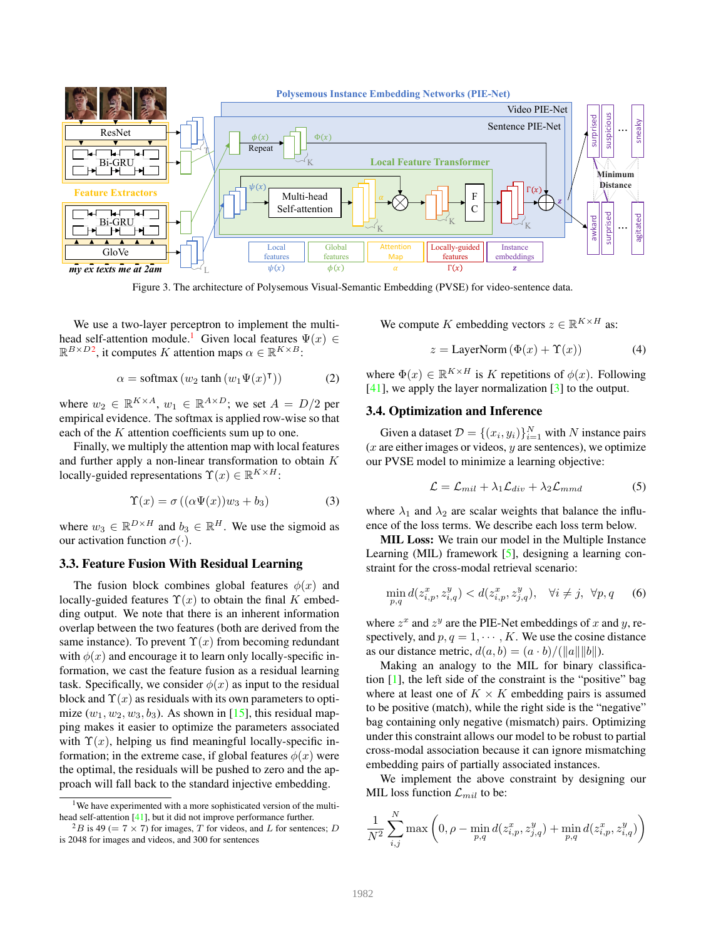

Figure 3. The architecture of Polysemous Visual-Semantic Embedding (PVSE) for video-sentence data.

We use a two-layer perceptron to implement the multihead self-attention module.<sup>1</sup> Given local features  $\Psi(x) \in$  $\mathbb{R}^{B \times D2}$ , it computes K attention maps  $\alpha \in \mathbb{R}^{K \times B}$ :

$$
\alpha = \text{softmax}(w_2 \tanh(w_1 \Psi(x)^\mathsf{T})) \tag{2}
$$

where  $w_2 \in \mathbb{R}^{K \times A}$ ,  $w_1 \in \mathbb{R}^{A \times D}$ ; we set  $A = D/2$  per empirical evidence. The softmax is applied row-wise so that each of the K attention coefficients sum up to one.

Finally, we multiply the attention map with local features and further apply a non-linear transformation to obtain  $K$ locally-guided representations  $\Upsilon(x) \in \mathbb{R}^{K \times H}$ :

$$
\Upsilon(x) = \sigma\left((\alpha\Psi(x))w_3 + b_3\right) \tag{3}
$$

where  $w_3 \in \mathbb{R}^{D \times H}$  and  $b_3 \in \mathbb{R}^H$ . We use the sigmoid as our activation function  $\sigma(\cdot)$ .

# 3.3. Feature Fusion With Residual Learning

The fusion block combines global features  $\phi(x)$  and locally-guided features  $\Upsilon(x)$  to obtain the final K embedding output. We note that there is an inherent information overlap between the two features (both are derived from the same instance). To prevent  $\Upsilon(x)$  from becoming redundant with  $\phi(x)$  and encourage it to learn only locally-specific information, we cast the feature fusion as a residual learning task. Specifically, we consider  $\phi(x)$  as input to the residual block and  $\Upsilon(x)$  as residuals with its own parameters to optimize  $(w_1, w_2, w_3, b_3)$ . As shown in [15], this residual mapping makes it easier to optimize the parameters associated with  $\Upsilon(x)$ , helping us find meaningful locally-specific information; in the extreme case, if global features  $\phi(x)$  were the optimal, the residuals will be pushed to zero and the approach will fall back to the standard injective embedding.

We compute K embedding vectors  $z \in \mathbb{R}^{K \times H}$  as:

$$
z = \text{LayerNorm}(\Phi(x) + \Upsilon(x))\tag{4}
$$

where  $\Phi(x) \in \mathbb{R}^{K \times H}$  is K repetitions of  $\phi(x)$ . Following [41], we apply the layer normalization [3] to the output.

## 3.4. Optimization and Inference

Given a dataset  $\mathcal{D} = \{(x_i, y_i)\}_{i=1}^N$  with N instance pairs  $(x)$  are either images or videos,  $y$  are sentences), we optimize our PVSE model to minimize a learning objective:

$$
\mathcal{L} = \mathcal{L}_{mil} + \lambda_1 \mathcal{L}_{div} + \lambda_2 \mathcal{L}_{mmd} \tag{5}
$$

where  $\lambda_1$  and  $\lambda_2$  are scalar weights that balance the influence of the loss terms. We describe each loss term below.

MIL Loss: We train our model in the Multiple Instance Learning (MIL) framework [5], designing a learning constraint for the cross-modal retrieval scenario:

$$
\min_{p,q} d(z_{i,p}^x, z_{i,q}^y) < d(z_{i,p}^x, z_{j,q}^y), \quad \forall i \neq j, \ \forall p, q \tag{6}
$$

where  $z^x$  and  $z^y$  are the PIE-Net embeddings of x and y, respectively, and  $p, q = 1, \dots, K$ . We use the cosine distance as our distance metric,  $d(a, b) = (a \cdot b) / (||a|| ||b||).$ 

Making an analogy to the MIL for binary classification [1], the left side of the constraint is the "positive" bag where at least one of  $K \times K$  embedding pairs is assumed to be positive (match), while the right side is the "negative" bag containing only negative (mismatch) pairs. Optimizing under this constraint allows our model to be robust to partial cross-modal association because it can ignore mismatching embedding pairs of partially associated instances.

We implement the above constraint by designing our MIL loss function  $\mathcal{L}_{mil}$  to be:

$$
\frac{1}{N^2}\sum_{i,j}^{N}\max\left(0,\rho-\min_{p,q}d(z_{i,p}^x,z_{j,q}^y)+\min_{p,q}d(z_{i,p}^x,z_{i,q}^y)\right)
$$

<sup>&</sup>lt;sup>1</sup>We have experimented with a more sophisticated version of the multihead self-attention [41], but it did not improve performance further.

 $^{2}B$  is 49 (= 7 × 7) for images, T for videos, and L for sentences; D is 2048 for images and videos, and 300 for sentences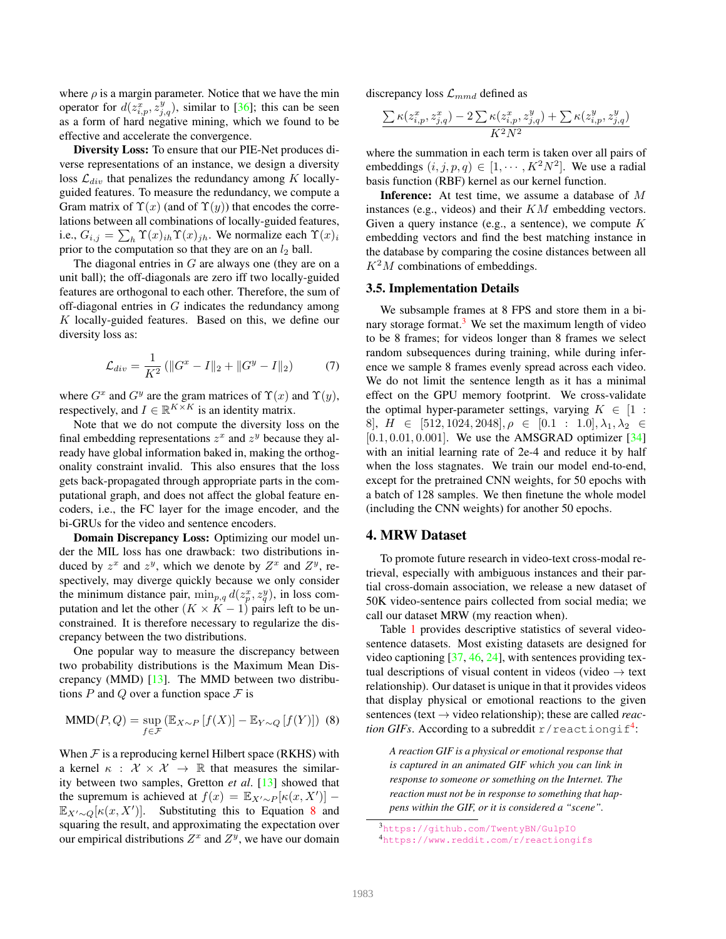where  $\rho$  is a margin parameter. Notice that we have the min operator for  $d(z_{i,p}^x, z_{j,q}^y)$ , similar to [36]; this can be seen as a form of hard negative mining, which we found to be effective and accelerate the convergence.

Diversity Loss: To ensure that our PIE-Net produces diverse representations of an instance, we design a diversity loss  $\mathcal{L}_{div}$  that penalizes the redundancy among K locallyguided features. To measure the redundancy, we compute a Gram matrix of  $\Upsilon(x)$  (and of  $\Upsilon(y)$ ) that encodes the correlations between all combinations of locally-guided features, i.e.,  $G_{i,j} = \sum_h \Upsilon(x)_{ih} \Upsilon(x)_{jh}$ . We normalize each  $\Upsilon(x)_i$ prior to the computation so that they are on an  $l_2$  ball.

The diagonal entries in  $G$  are always one (they are on a unit ball); the off-diagonals are zero iff two locally-guided features are orthogonal to each other. Therefore, the sum of off-diagonal entries in  $G$  indicates the redundancy among K locally-guided features. Based on this, we define our diversity loss as:

$$
\mathcal{L}_{div} = \frac{1}{K^2} \left( \|G^x - I\|_2 + \|G^y - I\|_2 \right) \tag{7}
$$

where  $G^x$  and  $G^y$  are the gram matrices of  $\Upsilon(x)$  and  $\Upsilon(y)$ , respectively, and  $I \in \mathbb{R}^{K \times K}$  is an identity matrix.

Note that we do not compute the diversity loss on the final embedding representations  $z^x$  and  $z^y$  because they already have global information baked in, making the orthogonality constraint invalid. This also ensures that the loss gets back-propagated through appropriate parts in the computational graph, and does not affect the global feature encoders, i.e., the FC layer for the image encoder, and the bi-GRUs for the video and sentence encoders.

Domain Discrepancy Loss: Optimizing our model under the MIL loss has one drawback: two distributions induced by  $z^x$  and  $z^y$ , which we denote by  $Z^x$  and  $Z^y$ , respectively, may diverge quickly because we only consider the minimum distance pair,  $\min_{p,q} d(z_p^x, z_q^y)$ , in loss computation and let the other ( $K \times K - 1$ ) pairs left to be unconstrained. It is therefore necessary to regularize the discrepancy between the two distributions.

One popular way to measure the discrepancy between two probability distributions is the Maximum Mean Discrepancy (MMD) [13]. The MMD between two distributions P and Q over a function space  $\mathcal F$  is

$$
\text{MMD}(P,Q) = \sup_{f \in \mathcal{F}} \left( \mathbb{E}_{X \sim P} \left[ f(X) \right] - \mathbb{E}_{Y \sim Q} \left[ f(Y) \right] \right) (8)
$$

When  $\mathcal F$  is a reproducing kernel Hilbert space (RKHS) with a kernel  $\kappa$  :  $\mathcal{X} \times \mathcal{X} \rightarrow \mathbb{R}$  that measures the similarity between two samples, Gretton *et al*. [13] showed that the supremum is achieved at  $f(x) = \mathbb{E}_{X' \sim P}[\kappa(x, X')]$  –  $\mathbb{E}_{X'\sim Q}[\kappa(x,X')]$ . Substituting this to Equation 8 and squaring the result, and approximating the expectation over our empirical distributions  $Z^x$  and  $Z^y$ , we have our domain discrepancy loss  $\mathcal{L}_{mmd}$  defined as

$$
\frac{\sum \kappa(z_{i,p}^x,z_{j,q}^x) - 2\sum \kappa(z_{i,p}^x,z_{j,q}^y) + \sum \kappa(z_{i,p}^y,z_{j,q}^y)}{K^2N^2}
$$

where the summation in each term is taken over all pairs of embeddings  $(i, j, p, q) \in [1, \cdots, K^2N^2]$ . We use a radial basis function (RBF) kernel as our kernel function.

Inference: At test time, we assume a database of M instances (e.g., videos) and their  $KM$  embedding vectors. Given a query instance (e.g., a sentence), we compute  $K$ embedding vectors and find the best matching instance in the database by comparing the cosine distances between all  $K^2M$  combinations of embeddings.

#### 3.5. Implementation Details

We subsample frames at 8 FPS and store them in a binary storage format. $3$  We set the maximum length of video to be 8 frames; for videos longer than 8 frames we select random subsequences during training, while during inference we sample 8 frames evenly spread across each video. We do not limit the sentence length as it has a minimal effect on the GPU memory footprint. We cross-validate the optimal hyper-parameter settings, varying  $K \in [1 :$ 8,  $H \in [512, 1024, 2048], \rho \in [0.1 : 1.0], \lambda_1, \lambda_2 \in$  $[0.1, 0.01, 0.001]$ . We use the AMSGRAD optimizer  $[34]$ with an initial learning rate of 2e-4 and reduce it by half when the loss stagnates. We train our model end-to-end, except for the pretrained CNN weights, for 50 epochs with a batch of 128 samples. We then finetune the whole model (including the CNN weights) for another 50 epochs.

# 4. MRW Dataset

To promote future research in video-text cross-modal retrieval, especially with ambiguous instances and their partial cross-domain association, we release a new dataset of 50K video-sentence pairs collected from social media; we call our dataset MRW (my reaction when).

Table 1 provides descriptive statistics of several videosentence datasets. Most existing datasets are designed for video captioning [37, 46, 24], with sentences providing textual descriptions of visual content in videos (video  $\rightarrow$  text relationship). Our dataset is unique in that it provides videos that display physical or emotional reactions to the given sentences (text → video relationship); these are called *reac-* $\emph{tion GIFs. According to a subreddit r/reactiongi f<sup>4</sup>:}$ 

*A reaction GIF is a physical or emotional response that is captured in an animated GIF which you can link in response to someone or something on the Internet. The reaction must not be in response to something that happens within the GIF, or it is considered a "scene".*

<sup>3</sup>https://github.com/TwentyBN/GulpIO

<sup>4</sup>https://www.reddit.com/r/reactiongifs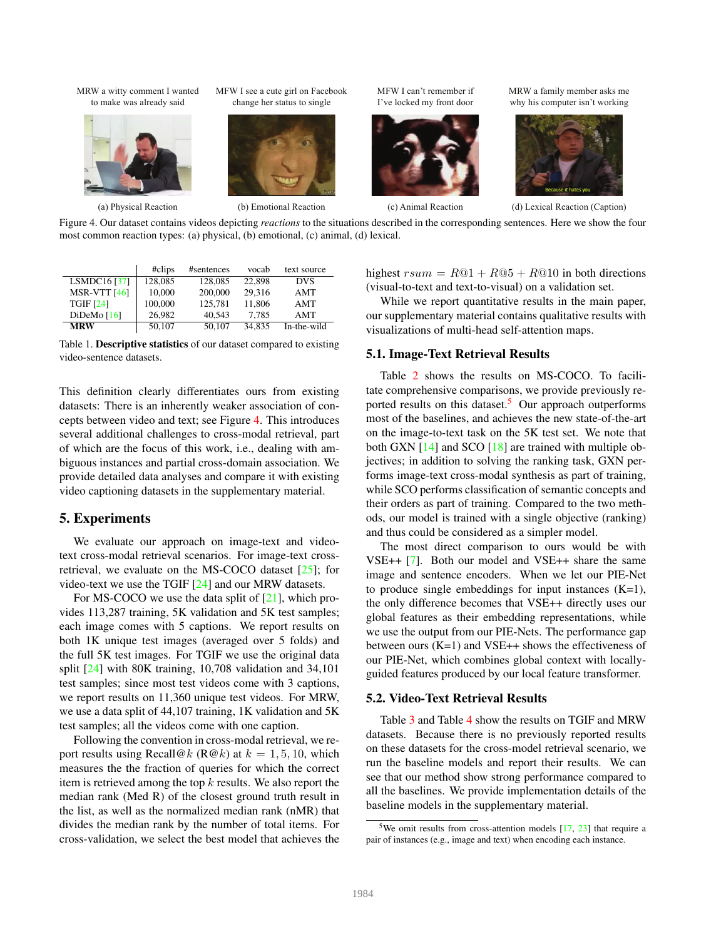MRW a witty comment I wanted to make was already said



(a) Physical Reaction

MFW I see a cute girl on Facebook change her status to single



(b) Emotional Reaction

MFW I can't remember if I've locked my front door



(c) Animal Reaction

MRW a family member asks me why his computer isn't working



(d) Lexical Reaction (Caption)

Figure 4. Our dataset contains videos depicting *reactions* to the situations described in the corresponding sentences. Here we show the four most common reaction types: (a) physical, (b) emotional, (c) animal, (d) lexical.

|                            | #clips  | #sentences | vocab  | text source |
|----------------------------|---------|------------|--------|-------------|
| LSMDC $16$ <sup>[37]</sup> | 128,085 | 128,085    | 22,898 | <b>DVS</b>  |
| <b>MSR-VTT</b> [46]        | 10.000  | 200,000    | 29.316 | AMT         |
| <b>TGIF [24]</b>           | 100,000 | 125.781    | 11.806 | AMT         |
| DiDeMo $[16]$              | 26.982  | 40.543     | 7.785  | AMT         |
| <b>MRW</b>                 | 50,107  | 50.107     | 34.835 | In-the-wild |

Table 1. Descriptive statistics of our dataset compared to existing video-sentence datasets.

This definition clearly differentiates ours from existing datasets: There is an inherently weaker association of concepts between video and text; see Figure 4. This introduces several additional challenges to cross-modal retrieval, part of which are the focus of this work, i.e., dealing with ambiguous instances and partial cross-domain association. We provide detailed data analyses and compare it with existing video captioning datasets in the supplementary material.

### 5. Experiments

We evaluate our approach on image-text and videotext cross-modal retrieval scenarios. For image-text crossretrieval, we evaluate on the MS-COCO dataset [25]; for video-text we use the TGIF [24] and our MRW datasets.

For MS-COCO we use the data split of  $[21]$ , which provides 113,287 training, 5K validation and 5K test samples; each image comes with 5 captions. We report results on both 1K unique test images (averaged over 5 folds) and the full 5K test images. For TGIF we use the original data split [24] with 80K training, 10,708 validation and 34,101 test samples; since most test videos come with 3 captions, we report results on 11,360 unique test videos. For MRW, we use a data split of 44,107 training, 1K validation and 5K test samples; all the videos come with one caption.

Following the convention in cross-modal retrieval, we report results using Recall@k (R@k) at  $k = 1, 5, 10$ , which measures the the fraction of queries for which the correct item is retrieved among the top  $k$  results. We also report the median rank (Med R) of the closest ground truth result in the list, as well as the normalized median rank (nMR) that divides the median rank by the number of total items. For cross-validation, we select the best model that achieves the

highest  $rsum = R@1 + R@5 + R@10$  in both directions (visual-to-text and text-to-visual) on a validation set.

While we report quantitative results in the main paper, our supplementary material contains qualitative results with visualizations of multi-head self-attention maps.

#### 5.1. Image-Text Retrieval Results

Table 2 shows the results on MS-COCO. To facilitate comprehensive comparisons, we provide previously reported results on this dataset.<sup>5</sup> Our approach outperforms most of the baselines, and achieves the new state-of-the-art on the image-to-text task on the 5K test set. We note that both GXN  $[14]$  and SCO  $[18]$  are trained with multiple objectives; in addition to solving the ranking task, GXN performs image-text cross-modal synthesis as part of training, while SCO performs classification of semantic concepts and their orders as part of training. Compared to the two methods, our model is trained with a single objective (ranking) and thus could be considered as a simpler model.

The most direct comparison to ours would be with VSE++ [7]. Both our model and VSE++ share the same image and sentence encoders. When we let our PIE-Net to produce single embeddings for input instances  $(K=1)$ , the only difference becomes that VSE++ directly uses our global features as their embedding representations, while we use the output from our PIE-Nets. The performance gap between ours (K=1) and VSE++ shows the effectiveness of our PIE-Net, which combines global context with locallyguided features produced by our local feature transformer.

### 5.2. Video-Text Retrieval Results

Table 3 and Table 4 show the results on TGIF and MRW datasets. Because there is no previously reported results on these datasets for the cross-model retrieval scenario, we run the baseline models and report their results. We can see that our method show strong performance compared to all the baselines. We provide implementation details of the baseline models in the supplementary material.

<sup>&</sup>lt;sup>5</sup>We omit results from cross-attention models  $[17, 23]$  that require a pair of instances (e.g., image and text) when encoding each instance.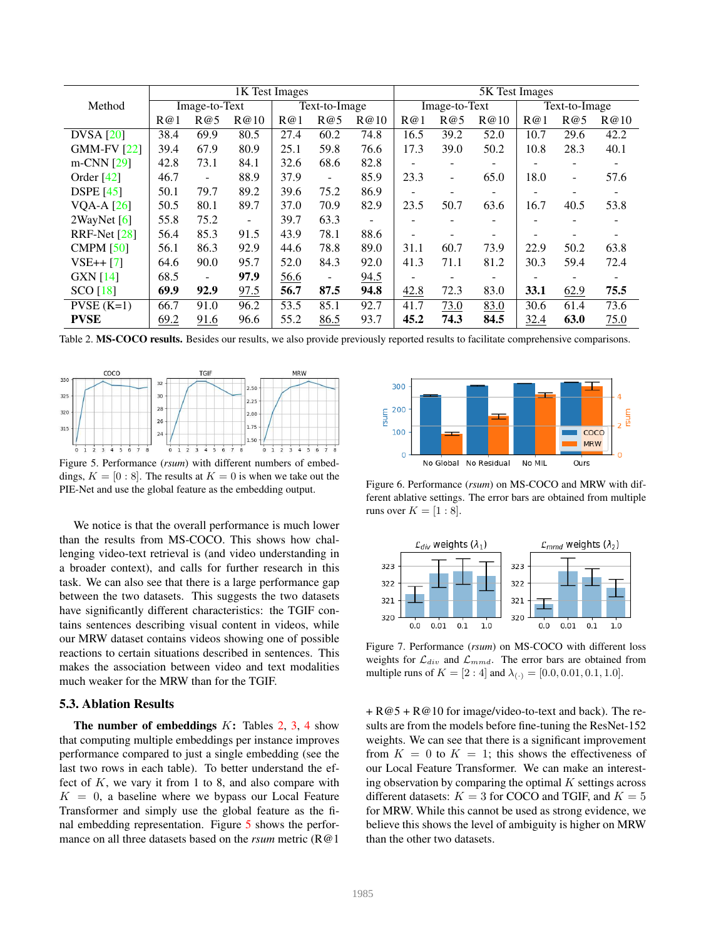|                    | 1K Test Images |                          |                          |      |                          |                | 5K Test Images |                          |               |      |                          |      |  |
|--------------------|----------------|--------------------------|--------------------------|------|--------------------------|----------------|----------------|--------------------------|---------------|------|--------------------------|------|--|
| Method             | Image-to-Text  |                          | Text-to-Image            |      |                          | Image-to-Text  |                |                          | Text-to-Image |      |                          |      |  |
|                    | R@1            | R@5                      | R@10                     | R@1  | R@5                      | R@10           | R@1            | R@5                      | R@10          | R@1  | R@5                      | R@10 |  |
| <b>DVSA</b> [20]   | 38.4           | 69.9                     | 80.5                     | 27.4 | 60.2                     | 74.8           | 16.5           | 39.2                     | 52.0          | 10.7 | 29.6                     | 42.2 |  |
| <b>GMM-FV [22]</b> | 39.4           | 67.9                     | 80.9                     | 25.1 | 59.8                     | 76.6           | 17.3           | 39.0                     | 50.2          | 10.8 | 28.3                     | 40.1 |  |
| $m-CNN$ [29]       | 42.8           | 73.1                     | 84.1                     | 32.6 | 68.6                     | 82.8           | ۰              | $\overline{\phantom{0}}$ |               |      | ۰                        |      |  |
| Order $[42]$       | 46.7           | $\overline{\phantom{a}}$ | 88.9                     | 37.9 | $\overline{\phantom{a}}$ | 85.9           | 23.3           | $\overline{\phantom{a}}$ | 65.0          | 18.0 | $\overline{\phantom{a}}$ | 57.6 |  |
| <b>DSPE</b> [45]   | 50.1           | 79.7                     | 89.2                     | 39.6 | 75.2                     | 86.9           |                | $\overline{\phantom{0}}$ |               |      |                          |      |  |
| VQA-A $[26]$       | 50.5           | 80.1                     | 89.7                     | 37.0 | 70.9                     | 82.9           | 23.5           | 50.7                     | 63.6          | 16.7 | 40.5                     | 53.8 |  |
| 2WayNet $[6]$      | 55.8           | 75.2                     | $\overline{\phantom{a}}$ | 39.7 | 63.3                     | $\blacksquare$ |                |                          |               |      |                          |      |  |
| RRF-Net $[28]$     | 56.4           | 85.3                     | 91.5                     | 43.9 | 78.1                     | 88.6           |                | -                        |               |      |                          |      |  |
| CMPM $[50]$        | 56.1           | 86.3                     | 92.9                     | 44.6 | 78.8                     | 89.0           | 31.1           | 60.7                     | 73.9          | 22.9 | 50.2                     | 63.8 |  |
| $VSE++ [7]$        | 64.6           | 90.0                     | 95.7                     | 52.0 | 84.3                     | 92.0           | 41.3           | 71.1                     | 81.2          | 30.3 | 59.4                     | 72.4 |  |
| <b>GXN</b> [14]    | 68.5           |                          | 97.9                     | 56.6 | $\overline{\phantom{0}}$ | 94.5           |                | ۰                        |               |      |                          |      |  |
| SCO[18]            | 69.9           | 92.9                     | 97.5                     | 56.7 | 87.5                     | 94.8           | 42.8           | 72.3                     | 83.0          | 33.1 | 62.9                     | 75.5 |  |
| $PVSE$ (K=1)       | 66.7           | 91.0                     | 96.2                     | 53.5 | 85.1                     | 92.7           | 41.7           | 73.0                     | 83.0          | 30.6 | 61.4                     | 73.6 |  |
| <b>PVSE</b>        | 69.2           | 91.6                     | 96.6                     | 55.2 | 86.5                     | 93.7           | 45.2           | 74.3                     | 84.5          | 32.4 | 63.0                     | 75.0 |  |

Table 2. MS-COCO results. Besides our results, we also provide previously reported results to facilitate comprehensive comparisons.



Figure 5. Performance (*rsum*) with different numbers of embeddings,  $K = [0 : 8]$ . The results at  $K = 0$  is when we take out the PIE-Net and use the global feature as the embedding output.

We notice is that the overall performance is much lower than the results from MS-COCO. This shows how challenging video-text retrieval is (and video understanding in a broader context), and calls for further research in this task. We can also see that there is a large performance gap between the two datasets. This suggests the two datasets have significantly different characteristics: the TGIF contains sentences describing visual content in videos, while our MRW dataset contains videos showing one of possible reactions to certain situations described in sentences. This makes the association between video and text modalities much weaker for the MRW than for the TGIF.

## 5.3. Ablation Results

The number of embeddings  $K$ : Tables 2, 3, 4 show that computing multiple embeddings per instance improves performance compared to just a single embedding (see the last two rows in each table). To better understand the effect of  $K$ , we vary it from 1 to 8, and also compare with  $K = 0$ , a baseline where we bypass our Local Feature Transformer and simply use the global feature as the final embedding representation. Figure 5 shows the performance on all three datasets based on the *rsum* metric (R@1



Figure 6. Performance (*rsum*) on MS-COCO and MRW with different ablative settings. The error bars are obtained from multiple runs over  $K = [1 : 8]$ .



Figure 7. Performance (*rsum*) on MS-COCO with different loss weights for  $\mathcal{L}_{div}$  and  $\mathcal{L}_{mmd}$ . The error bars are obtained from multiple runs of  $K = [2:4]$  and  $\lambda_{(.)} = [0.0, 0.01, 0.1, 1.0]$ .

+ R@5 + R@10 for image/video-to-text and back). The results are from the models before fine-tuning the ResNet-152 weights. We can see that there is a significant improvement from  $K = 0$  to  $K = 1$ ; this shows the effectiveness of our Local Feature Transformer. We can make an interesting observation by comparing the optimal  $K$  settings across different datasets:  $K = 3$  for COCO and TGIF, and  $K = 5$ for MRW. While this cannot be used as strong evidence, we believe this shows the level of ambiguity is higher on MRW than the other two datasets.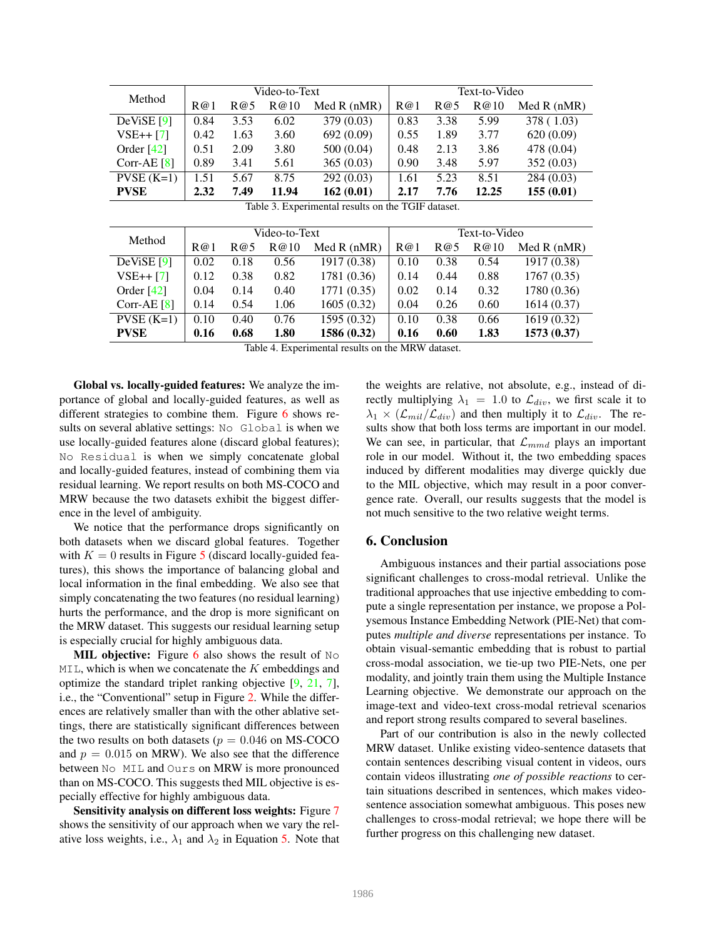| Method           | Video-to-Text |      |       |               | Text-to-Video |      |       |               |
|------------------|---------------|------|-------|---------------|---------------|------|-------|---------------|
|                  | R@1           | R@5  | R@10  | Med $R$ (nMR) | R@1           | R@5  | R@10  | Med $R$ (nMR) |
| $DeViSE$ [9]     | 0.84          | 3.53 | 6.02  | 379(0.03)     | 0.83          | 3.38 | 5.99  | 378 (1.03)    |
| $VSE++ [7]$      | 0.42          | 1.63 | 3.60  | 692 (0.09)    | 0.55          | 1.89 | 3.77  | 620(0.09)     |
| Order $[42]$     | 0.51          | 2.09 | 3.80  | 500(0.04)     | 0.48          | 2.13 | 3.86  | 478 (0.04)    |
| Corr-AE $[8]$    | 0.89          | 3.41 | 5.61  | 365(0.03)     | 0.90          | 3.48 | 5.97  | 352(0.03)     |
| $PVSE$ ( $K=1$ ) | 1.51          | 5.67 | 8.75  | 292(0.03)     | 1.61          | 5.23 | 8.51  | 284(0.03)     |
| <b>PVSE</b>      | 2.32          | 7.49 | 11.94 | 162(0.01)     | 2.17          | 7.76 | 12.25 | 155(0.01)     |

|  | Table 3. Experimental results on the TGIF dataset. |  |  |  |  |
|--|----------------------------------------------------|--|--|--|--|
|--|----------------------------------------------------|--|--|--|--|

| Method        | Video-to-Text |      |      |               | Text-to-Video |      |      |               |
|---------------|---------------|------|------|---------------|---------------|------|------|---------------|
|               | R@1           | R@5  | R@10 | Med $R$ (nMR) | R@1           | R@5  | R@10 | Med $R$ (nMR) |
| DeViSE [9]    | 0.02          | 0.18 | 0.56 | 1917 (0.38)   | 0.10          | 0.38 | 0.54 | 1917 (0.38)   |
| $VSE++[7]$    | 0.12          | 0.38 | 0.82 | 1781 (0.36)   | 0.14          | 0.44 | 0.88 | 1767(0.35)    |
| Order $[42]$  | 0.04          | 0.14 | 0.40 | 1771(0.35)    | 0.02          | 0.14 | 0.32 | 1780 (0.36)   |
| Corr-AE $[8]$ | 0.14          | 0.54 | 1.06 | 1605(0.32)    | 0.04          | 0.26 | 0.60 | 1614(0.37)    |
| $PVSE(K=1)$   | 0.10          | 0.40 | 0.76 | 1595 (0.32)   | 0.10          | 0.38 | 0.66 | 1619 (0.32)   |
| <b>PVSE</b>   | 0.16          | 0.68 | 1.80 | 1586 (0.32)   | 0.16          | 0.60 | 1.83 | 1573(0.37)    |

Table 4. Experimental results on the MRW dataset.

Global vs. locally-guided features: We analyze the importance of global and locally-guided features, as well as different strategies to combine them. Figure 6 shows results on several ablative settings: No Global is when we use locally-guided features alone (discard global features); No Residual is when we simply concatenate global and locally-guided features, instead of combining them via residual learning. We report results on both MS-COCO and MRW because the two datasets exhibit the biggest difference in the level of ambiguity.

We notice that the performance drops significantly on both datasets when we discard global features. Together with  $K = 0$  results in Figure 5 (discard locally-guided features), this shows the importance of balancing global and local information in the final embedding. We also see that simply concatenating the two features (no residual learning) hurts the performance, and the drop is more significant on the MRW dataset. This suggests our residual learning setup is especially crucial for highly ambiguous data.

**MIL objective:** Figure 6 also shows the result of  $No$  $MIL$ , which is when we concatenate the K embeddings and optimize the standard triplet ranking objective [9, 21, 7], i.e., the "Conventional" setup in Figure 2. While the differences are relatively smaller than with the other ablative settings, there are statistically significant differences between the two results on both datasets ( $p = 0.046$  on MS-COCO and  $p = 0.015$  on MRW). We also see that the difference between No MIL and Ours on MRW is more pronounced than on MS-COCO. This suggests thed MIL objective is especially effective for highly ambiguous data.

Sensitivity analysis on different loss weights: Figure 7 shows the sensitivity of our approach when we vary the relative loss weights, i.e.,  $\lambda_1$  and  $\lambda_2$  in Equation 5. Note that the weights are relative, not absolute, e.g., instead of directly multiplying  $\lambda_1 = 1.0$  to  $\mathcal{L}_{div}$ , we first scale it to  $\lambda_1 \times (\mathcal{L}_{mil}/\mathcal{L}_{div})$  and then multiply it to  $\mathcal{L}_{div}$ . The results show that both loss terms are important in our model. We can see, in particular, that  $\mathcal{L}_{mmd}$  plays an important role in our model. Without it, the two embedding spaces induced by different modalities may diverge quickly due to the MIL objective, which may result in a poor convergence rate. Overall, our results suggests that the model is not much sensitive to the two relative weight terms.

### 6. Conclusion

Ambiguous instances and their partial associations pose significant challenges to cross-modal retrieval. Unlike the traditional approaches that use injective embedding to compute a single representation per instance, we propose a Polysemous Instance Embedding Network (PIE-Net) that computes *multiple and diverse* representations per instance. To obtain visual-semantic embedding that is robust to partial cross-modal association, we tie-up two PIE-Nets, one per modality, and jointly train them using the Multiple Instance Learning objective. We demonstrate our approach on the image-text and video-text cross-modal retrieval scenarios and report strong results compared to several baselines.

Part of our contribution is also in the newly collected MRW dataset. Unlike existing video-sentence datasets that contain sentences describing visual content in videos, ours contain videos illustrating *one of possible reactions* to certain situations described in sentences, which makes videosentence association somewhat ambiguous. This poses new challenges to cross-modal retrieval; we hope there will be further progress on this challenging new dataset.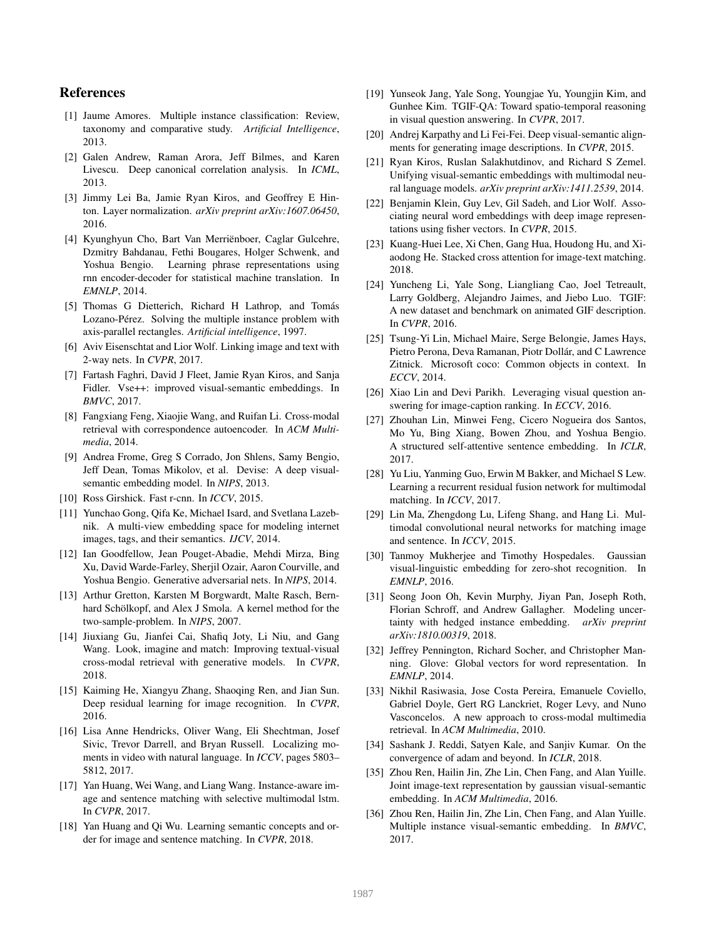# References

- [1] Jaume Amores. Multiple instance classification: Review, taxonomy and comparative study. *Artificial Intelligence*, 2013.
- [2] Galen Andrew, Raman Arora, Jeff Bilmes, and Karen Livescu. Deep canonical correlation analysis. In *ICML*, 2013.
- [3] Jimmy Lei Ba, Jamie Ryan Kiros, and Geoffrey E Hinton. Layer normalization. *arXiv preprint arXiv:1607.06450*, 2016.
- [4] Kyunghyun Cho, Bart Van Merriënboer, Caglar Gulcehre, Dzmitry Bahdanau, Fethi Bougares, Holger Schwenk, and Yoshua Bengio. Learning phrase representations using rnn encoder-decoder for statistical machine translation. In *EMNLP*, 2014.
- [5] Thomas G Dietterich, Richard H Lathrop, and Tomás Lozano-Pérez. Solving the multiple instance problem with axis-parallel rectangles. *Artificial intelligence*, 1997.
- [6] Aviv Eisenschtat and Lior Wolf. Linking image and text with 2-way nets. In *CVPR*, 2017.
- [7] Fartash Faghri, David J Fleet, Jamie Ryan Kiros, and Sanja Fidler. Vse++: improved visual-semantic embeddings. In *BMVC*, 2017.
- [8] Fangxiang Feng, Xiaojie Wang, and Ruifan Li. Cross-modal retrieval with correspondence autoencoder. In *ACM Multimedia*, 2014.
- [9] Andrea Frome, Greg S Corrado, Jon Shlens, Samy Bengio, Jeff Dean, Tomas Mikolov, et al. Devise: A deep visualsemantic embedding model. In *NIPS*, 2013.
- [10] Ross Girshick. Fast r-cnn. In *ICCV*, 2015.
- [11] Yunchao Gong, Qifa Ke, Michael Isard, and Svetlana Lazebnik. A multi-view embedding space for modeling internet images, tags, and their semantics. *IJCV*, 2014.
- [12] Ian Goodfellow, Jean Pouget-Abadie, Mehdi Mirza, Bing Xu, David Warde-Farley, Sherjil Ozair, Aaron Courville, and Yoshua Bengio. Generative adversarial nets. In *NIPS*, 2014.
- [13] Arthur Gretton, Karsten M Borgwardt, Malte Rasch, Bernhard Schölkopf, and Alex J Smola. A kernel method for the two-sample-problem. In *NIPS*, 2007.
- [14] Jiuxiang Gu, Jianfei Cai, Shafiq Joty, Li Niu, and Gang Wang. Look, imagine and match: Improving textual-visual cross-modal retrieval with generative models. In *CVPR*, 2018.
- [15] Kaiming He, Xiangyu Zhang, Shaoqing Ren, and Jian Sun. Deep residual learning for image recognition. In *CVPR*, 2016.
- [16] Lisa Anne Hendricks, Oliver Wang, Eli Shechtman, Josef Sivic, Trevor Darrell, and Bryan Russell. Localizing moments in video with natural language. In *ICCV*, pages 5803– 5812, 2017.
- [17] Yan Huang, Wei Wang, and Liang Wang. Instance-aware image and sentence matching with selective multimodal lstm. In *CVPR*, 2017.
- [18] Yan Huang and Qi Wu. Learning semantic concepts and order for image and sentence matching. In *CVPR*, 2018.
- [19] Yunseok Jang, Yale Song, Youngjae Yu, Youngjin Kim, and Gunhee Kim. TGIF-QA: Toward spatio-temporal reasoning in visual question answering. In *CVPR*, 2017.
- [20] Andrej Karpathy and Li Fei-Fei. Deep visual-semantic alignments for generating image descriptions. In *CVPR*, 2015.
- [21] Ryan Kiros, Ruslan Salakhutdinov, and Richard S Zemel. Unifying visual-semantic embeddings with multimodal neural language models. *arXiv preprint arXiv:1411.2539*, 2014.
- [22] Benjamin Klein, Guy Lev, Gil Sadeh, and Lior Wolf. Associating neural word embeddings with deep image representations using fisher vectors. In *CVPR*, 2015.
- [23] Kuang-Huei Lee, Xi Chen, Gang Hua, Houdong Hu, and Xiaodong He. Stacked cross attention for image-text matching. 2018.
- [24] Yuncheng Li, Yale Song, Liangliang Cao, Joel Tetreault, Larry Goldberg, Alejandro Jaimes, and Jiebo Luo. TGIF: A new dataset and benchmark on animated GIF description. In *CVPR*, 2016.
- [25] Tsung-Yi Lin, Michael Maire, Serge Belongie, James Hays, Pietro Perona, Deva Ramanan, Piotr Dollár, and C Lawrence Zitnick. Microsoft coco: Common objects in context. In *ECCV*, 2014.
- [26] Xiao Lin and Devi Parikh. Leveraging visual question answering for image-caption ranking. In *ECCV*, 2016.
- [27] Zhouhan Lin, Minwei Feng, Cicero Nogueira dos Santos, Mo Yu, Bing Xiang, Bowen Zhou, and Yoshua Bengio. A structured self-attentive sentence embedding. In *ICLR*, 2017.
- [28] Yu Liu, Yanming Guo, Erwin M Bakker, and Michael S Lew. Learning a recurrent residual fusion network for multimodal matching. In *ICCV*, 2017.
- [29] Lin Ma, Zhengdong Lu, Lifeng Shang, and Hang Li. Multimodal convolutional neural networks for matching image and sentence. In *ICCV*, 2015.
- [30] Tanmoy Mukherjee and Timothy Hospedales. Gaussian visual-linguistic embedding for zero-shot recognition. In *EMNLP*, 2016.
- [31] Seong Joon Oh, Kevin Murphy, Jiyan Pan, Joseph Roth, Florian Schroff, and Andrew Gallagher. Modeling uncertainty with hedged instance embedding. *arXiv preprint arXiv:1810.00319*, 2018.
- [32] Jeffrey Pennington, Richard Socher, and Christopher Manning. Glove: Global vectors for word representation. In *EMNLP*, 2014.
- [33] Nikhil Rasiwasia, Jose Costa Pereira, Emanuele Coviello, Gabriel Doyle, Gert RG Lanckriet, Roger Levy, and Nuno Vasconcelos. A new approach to cross-modal multimedia retrieval. In *ACM Multimedia*, 2010.
- [34] Sashank J. Reddi, Satyen Kale, and Sanjiv Kumar. On the convergence of adam and beyond. In *ICLR*, 2018.
- [35] Zhou Ren, Hailin Jin, Zhe Lin, Chen Fang, and Alan Yuille. Joint image-text representation by gaussian visual-semantic embedding. In *ACM Multimedia*, 2016.
- [36] Zhou Ren, Hailin Jin, Zhe Lin, Chen Fang, and Alan Yuille. Multiple instance visual-semantic embedding. In *BMVC*, 2017.